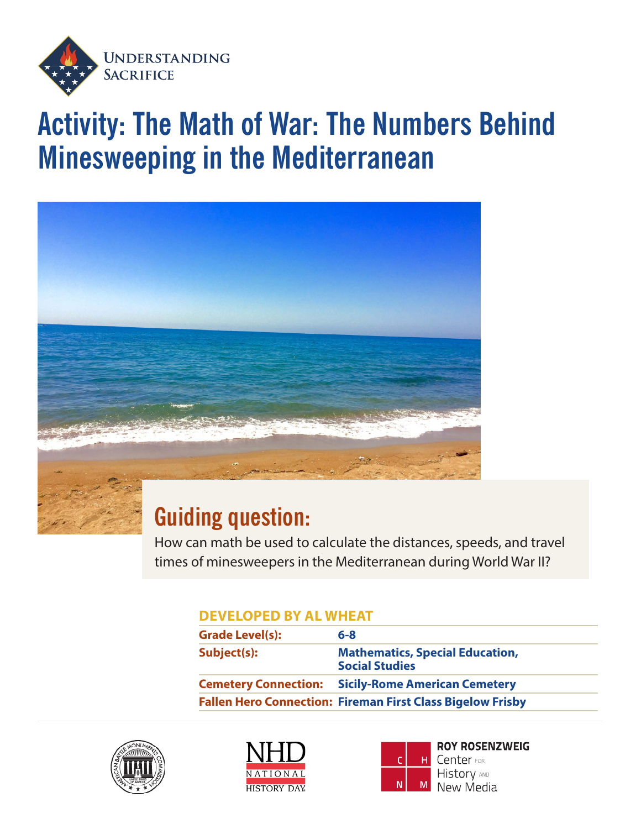

# **Activity: The Math of War: The Numbers Behind Minesweeping in the Mediterranean**



## **Guiding question:**

How can math be used to calculate the distances, speeds, and travel times of minesweepers in the Mediterranean during World War II?

### **DEVELOPED BY AL WHEAT**

| _____________________                                             |  |  |
|-------------------------------------------------------------------|--|--|
| $6 - 8$                                                           |  |  |
| <b>Mathematics, Special Education,</b><br><b>Social Studies</b>   |  |  |
| <b>Sicily-Rome American Cemetery</b>                              |  |  |
| <b>Fallen Hero Connection: Fireman First Class Bigelow Frisby</b> |  |  |
|                                                                   |  |  |







**ROY ROSENZWEIG** Center FOR **History AND** New Media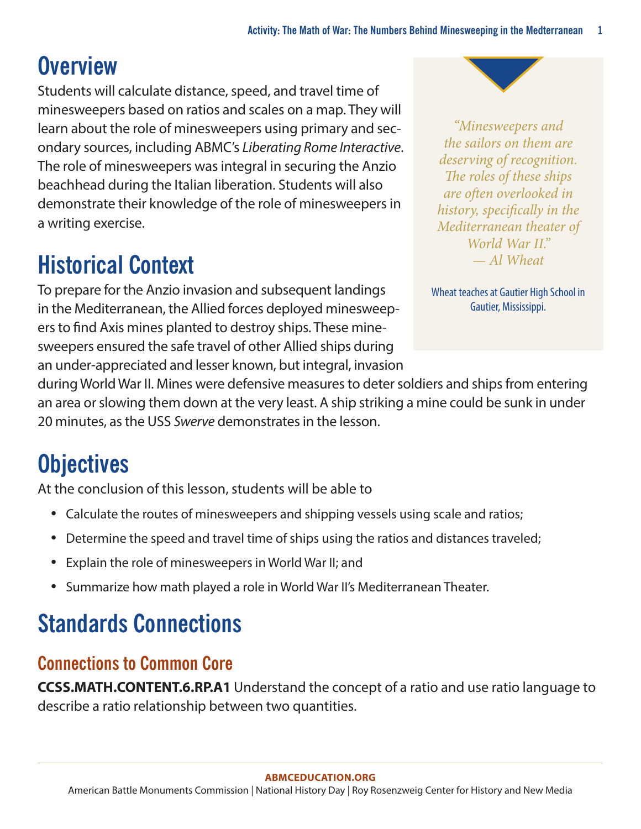## **Overview**

Students will calculate distance, speed, and travel time of minesweepers based on ratios and scales on a map. They will learn about the role of minesweepers using primary and secondary sources, including ABMC's *Liberating Rome Interactive*. The role of minesweepers was integral in securing the Anzio beachhead during the Italian liberation. Students will also demonstrate their knowledge of the role of minesweepers in a writing exercise.

## **Historical Context**

To prepare for the Anzio invasion and subsequent landings in the Mediterranean, the Allied forces deployed minesweepers to find Axis mines planted to destroy ships. These minesweepers ensured the safe travel of other Allied ships during an under-appreciated and lesser known, but integral, invasion

*"Minesweepers and the sailors on them are deserving of recognition. The roles of these ships are often overlooked in history, specifically in the Mediterranean theater of World War II." — Al Wheat*

Wheat teaches at Gautier High School in Gautier, Mississippi.

during World War II. Mines were defensive measures to deter soldiers and ships from entering an area or slowing them down at the very least. A ship striking a mine could be sunk in under 20 minutes, as the USS *Swerve* demonstrates in the lesson.

# **Objectives**

At the conclusion of this lesson, students will be able to

- Calculate the routes of minesweepers and shipping vessels using scale and ratios;
- Determine the speed and travel time of ships using the ratios and distances traveled;
- Explain the role of minesweepers in World War II; and
- Summarize how math played a role in World War II's Mediterranean Theater.

# **Standards Connections**

### **Connections to Common Core**

**CCSS.MATH.CONTENT.6.RP.A1** Understand the concept of a ratio and use ratio language to describe a ratio relationship between two quantities.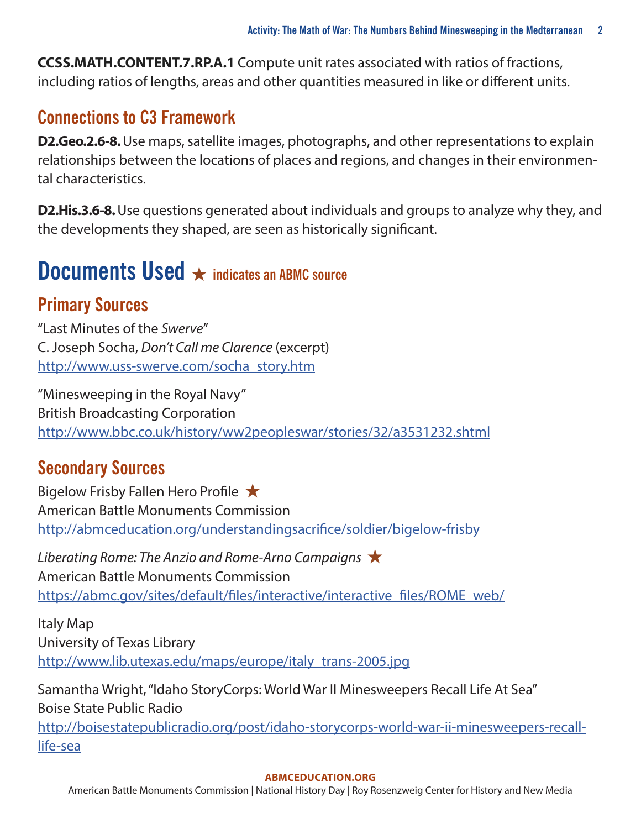**CCSS.MATH.CONTENT.7.RP.A.1** Compute unit rates associated with ratios of fractions, including ratios of lengths, areas and other quantities measured in like or different units.

### **Connections to C3 Framework**

**D2.Geo.2.6-8.** Use maps, satellite images, photographs, and other representations to explain relationships between the locations of places and regions, and changes in their environmental characteristics.

**D2.His.3.6-8.** Use questions generated about individuals and groups to analyze why they, and the developments they shaped, are seen as historically significant.

### **Documents Used** ★ **indicates an ABMC source**

### **Primary Sources**

"Last Minutes of the *Swerve*" C. Joseph Socha, *Don't Call me Clarence* (excerpt) [http://www.uss-swerve.com/socha\\_story.htm](http://www.uss-swerve.com/socha_story.htm)

"Minesweeping in the Royal Navy" British Broadcasting Corporation <http://www.bbc.co.uk/history/ww2peopleswar/stories/32/a3531232.shtml>

### **Secondary Sources**

Bigelow Frisby Fallen Hero Profile ★ American Battle Monuments Commission <http://abmceducation.org/understandingsacrifice/soldier/bigelow-frisby>

*Liberating Rome: The Anzio and Rome-Arno Campaigns* ★ American Battle Monuments Commission [https://abmc.gov/sites/default/files/interactive/interactive\\_files/ROME\\_web/](https://abmc.gov/sites/default/files/interactive/interactive_files/ROME_web/)

Italy Map University of Texas Library [http://www.lib.utexas.edu/maps/europe/italy\\_trans-2005.jpg](http://www.lib.utexas.edu/maps/europe/italy_trans-2005.jpg)

Samantha Wright, "Idaho StoryCorps: World War II Minesweepers Recall Life At Sea" Boise State Public Radio [http://boisestatepublicradio.org/post/idaho-storycorps-world-war-ii-minesweepers-recall](http://boisestatepublicradio.org/post/idaho-storycorps-world-war-ii-minesweepers-recall-life-sea)[life-sea](http://boisestatepublicradio.org/post/idaho-storycorps-world-war-ii-minesweepers-recall-life-sea)

#### **[ABMCEDUCATION.ORG](http://abmceducation.org)**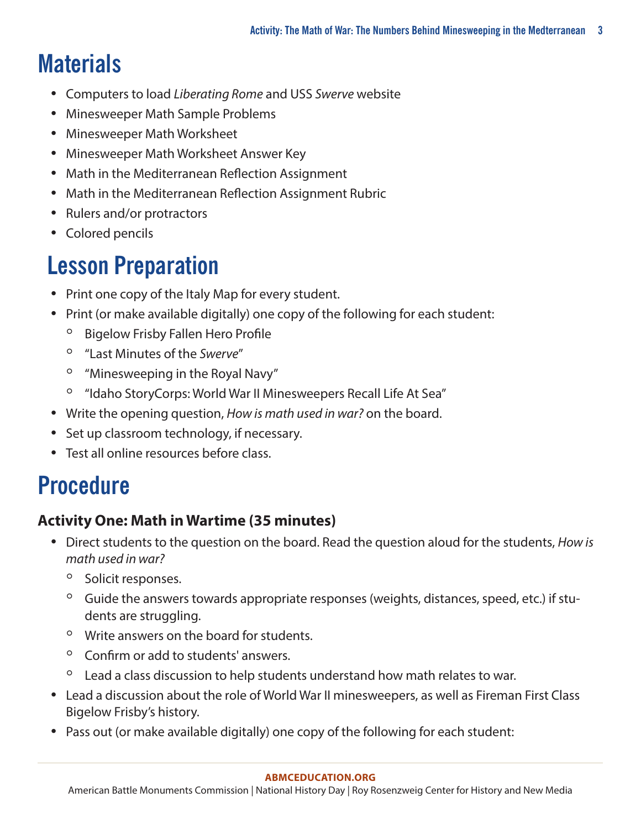# **Materials**

- Computers to load *Liberating Rome* and USS *Swerve* website
- Minesweeper Math Sample Problems
- Minesweeper Math Worksheet
- Minesweeper Math Worksheet Answer Key
- Math in the Mediterranean Reflection Assignment
- Math in the Mediterranean Reflection Assignment Rubric
- Rulers and/or protractors
- Colored pencils

### **Lesson Preparation**

- Print one copy of the Italy Map for every student.
- Print (or make available digitally) one copy of the following for each student:
	- Bigelow Frisby Fallen Hero Profile
	- "Last Minutes of the *Swerve*"
	- "Minesweeping in the Royal Navy"
	- "Idaho StoryCorps: World War II Minesweepers Recall Life At Sea"
- Write the opening question, *How is math used in war?* on the board.
- Set up classroom technology, if necessary.
- Test all online resources before class.

# **Procedure**

### **Activity One: Math in Wartime (35 minutes)**

- Direct students to the question on the board. Read the question aloud for the students, *How is math used in war?* 
	- Solicit responses.
	- Guide the answers towards appropriate responses (weights, distances, speed, etc.) if students are struggling.
	- Write answers on the board for students.
	- Confirm or add to students' answers.
	- Lead a class discussion to help students understand how math relates to war.
- Lead a discussion about the role of World War II minesweepers, as well as Fireman First Class Bigelow Frisby's history.
- Pass out (or make available digitally) one copy of the following for each student: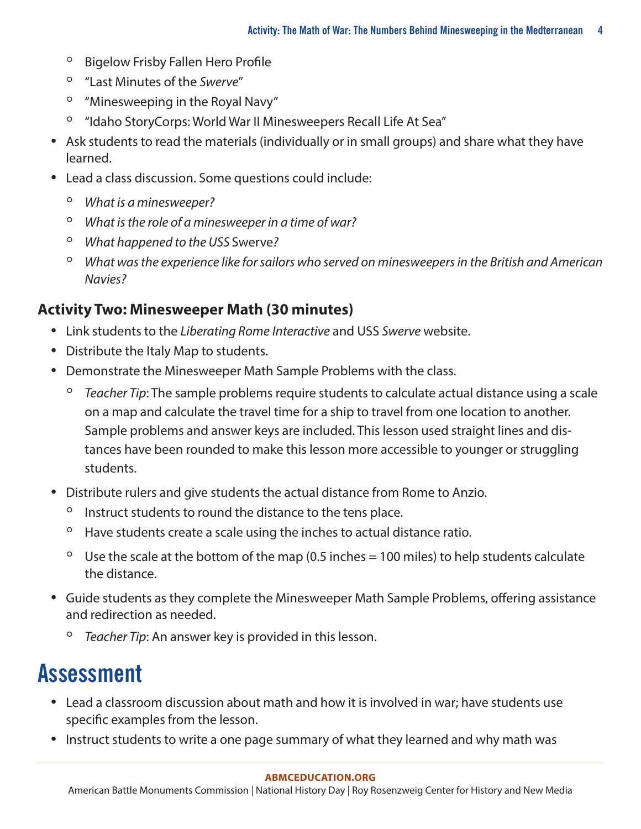- Bigelow Frisby Fallen Hero Profile
- "Last Minutes of the *Swerve*"
- "Minesweeping in the Royal Navy"
- "Idaho StoryCorps: World War II Minesweepers Recall Life At Sea"
- Ask students to read the materials (individually or in small groups) and share what they have learned.
- Lead a class discussion. Some questions could include:
	- *What is a minesweeper?*
	- *What is the role of a minesweeper in a time of war?*
	- *What happened to the USS* Swerve*?*
	- *What was the experience like for sailors who served on minesweepers in the British and American Navies?*

### **Activity Two: Minesweeper Math (30 minutes)**

- Link students to the *Liberating Rome Interactive* and USS *Swerve* website.
- Distribute the Italy Map to students.
- Demonstrate the Minesweeper Math Sample Problems with the class.
	- *Teacher Tip*: The sample problems require students to calculate actual distance using a scale on a map and calculate the travel time for a ship to travel from one location to another. Sample problems and answer keys are included. This lesson used straight lines and distances have been rounded to make this lesson more accessible to younger or struggling students.
- Distribute rulers and give students the actual distance from Rome to Anzio.
	- Instruct students to round the distance to the tens place.
	- Have students create a scale using the inches to actual distance ratio.
	- $\degree$  Use the scale at the bottom of the map (0.5 inches = 100 miles) to help students calculate the distance.
- Guide students as they complete the Minesweeper Math Sample Problems, offering assistance and redirection as needed.
	- *Teacher Tip*: An answer key is provided in this lesson.

### **Assessment**

- Lead a classroom discussion about math and how it is involved in war; have students use specific examples from the lesson.
- Instruct students to write a one page summary of what they learned and why math was

#### **[ABMCEDUCATION.ORG](http://abmceducation.org)**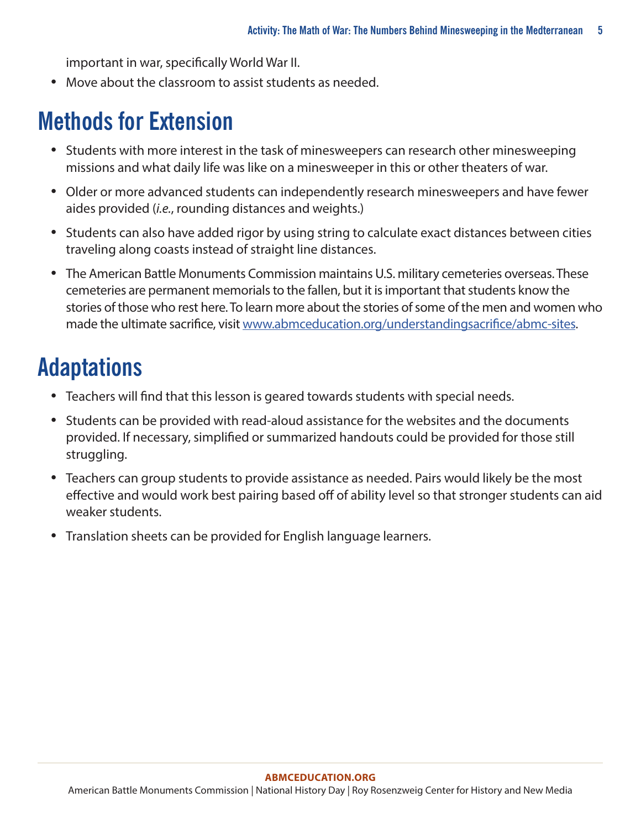important in war, specifically World War II.

• Move about the classroom to assist students as needed.

### **Methods for Extension**

- Students with more interest in the task of minesweepers can research other minesweeping missions and what daily life was like on a minesweeper in this or other theaters of war.
- Older or more advanced students can independently research minesweepers and have fewer aides provided (*i.e.*, rounding distances and weights.)
- Students can also have added rigor by using string to calculate exact distances between cities traveling along coasts instead of straight line distances.
- The American Battle Monuments Commission maintains U.S. military cemeteries overseas. These cemeteries are permanent memorials to the fallen, but it is important that students know the stories of those who rest here. To learn more about the stories of some of the men and women who made the ultimate sacrifice, visit [www.abmceducation.org/understandingsacrifice/abmc-sites.](www.abmceducation.org/understandingsacrifice/abmc-sites)

## **Adaptations**

- Teachers will find that this lesson is geared towards students with special needs.
- Students can be provided with read-aloud assistance for the websites and the documents provided. If necessary, simplified or summarized handouts could be provided for those still struggling.
- Teachers can group students to provide assistance as needed. Pairs would likely be the most effective and would work best pairing based off of ability level so that stronger students can aid weaker students.
- Translation sheets can be provided for English language learners.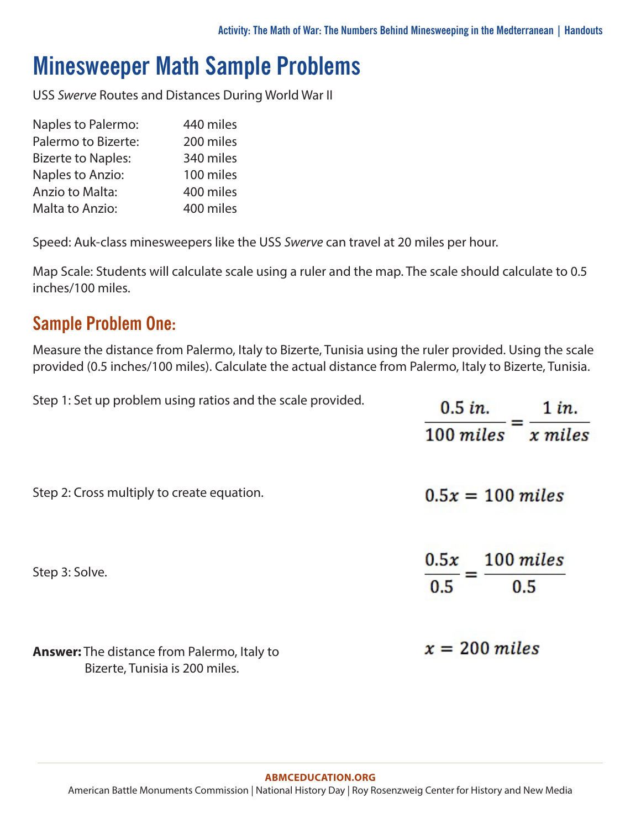## **Minesweeper Math Sample Problems**

USS *Swerve* Routes and Distances During World War II

| Naples to Palermo:        | 440 miles |
|---------------------------|-----------|
| Palermo to Bizerte:       | 200 miles |
| <b>Bizerte to Naples:</b> | 340 miles |
| Naples to Anzio:          | 100 miles |
| Anzio to Malta:           | 400 miles |
| Malta to Anzio:           | 400 miles |

Speed: Auk-class minesweepers like the USS *Swerve* can travel at 20 miles per hour.

Map Scale: Students will calculate scale using a ruler and the map. The scale should calculate to 0.5 inches/100 miles.

### **Sample Problem One:**

Measure the distance from Palermo, Italy to Bizerte, Tunisia using the ruler provided. Using the scale provided (0.5 inches/100 miles). Calculate the actual distance from Palermo, Italy to Bizerte, Tunisia.

| Step 1: Set up problem using ratios and the scale provided.                          | $0.5$ in.<br>$1$ in.           |
|--------------------------------------------------------------------------------------|--------------------------------|
|                                                                                      | $100$ miles $x$ miles          |
| Step 2: Cross multiply to create equation.                                           | $0.5x = 100$ miles             |
| Step 3: Solve.                                                                       | $0.5x$ 100 miles<br>0.5<br>0.5 |
| <b>Answer:</b> The distance from Palermo, Italy to<br>Bizerte, Tunisia is 200 miles. | $x = 200$ miles                |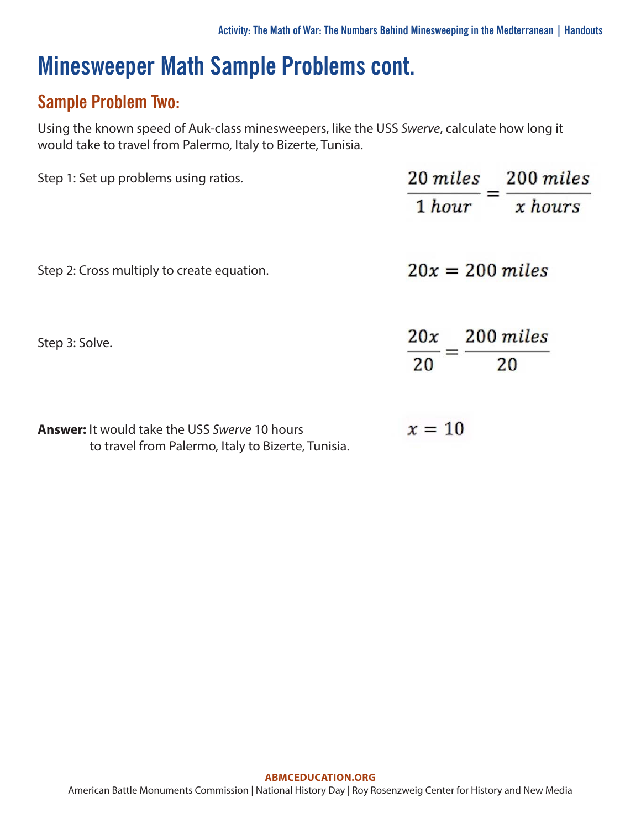### **Minesweeper Math Sample Problems cont.**

### **Sample Problem Two:**

Using the known speed of Auk-class minesweepers, like the USS *Swerve*, calculate how long it would take to travel from Palermo, Italy to Bizerte, Tunisia.

| Step 1: Set up problems using ratios.                | 200 miles<br>20 miles<br>$x$ hours<br>1 hour |
|------------------------------------------------------|----------------------------------------------|
| Step 2: Cross multiply to create equation.           | $20x = 200$ miles                            |
| Step 3: Solve.                                       | 200 miles<br>20x<br>20<br>20                 |
| <b>Answer:</b> It would take the USS Swerve 10 hours | $x=10$                                       |

to travel from Palermo, Italy to Bizerte, Tunisia.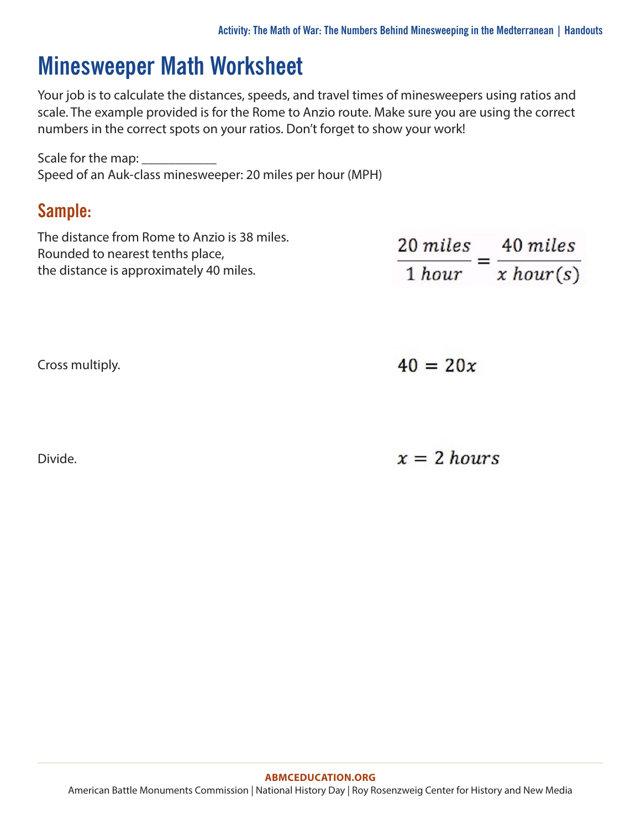### **Minesweeper Math Worksheet**

Your job is to calculate the distances, speeds, and travel times of minesweepers using ratios and scale. The example provided is for the Rome to Anzio route. Make sure you are using the correct numbers in the correct spots on your ratios. Don't forget to show your work!

Scale for the map: \_\_\_\_\_\_\_\_\_\_\_ Speed of an Auk-class minesweeper: 20 miles per hour (MPH)

### **Sample:**

| The distance from Rome to Anzio is 38 miles. | 20 miles 40 miles |                          |
|----------------------------------------------|-------------------|--------------------------|
| Rounded to nearest tenths place,             |                   |                          |
| the distance is approximately 40 miles.      |                   | $1 hour \quad x hour(s)$ |

Cross multiply.

 $40 = 20x$ 

Divide.

 $x = 2 hours$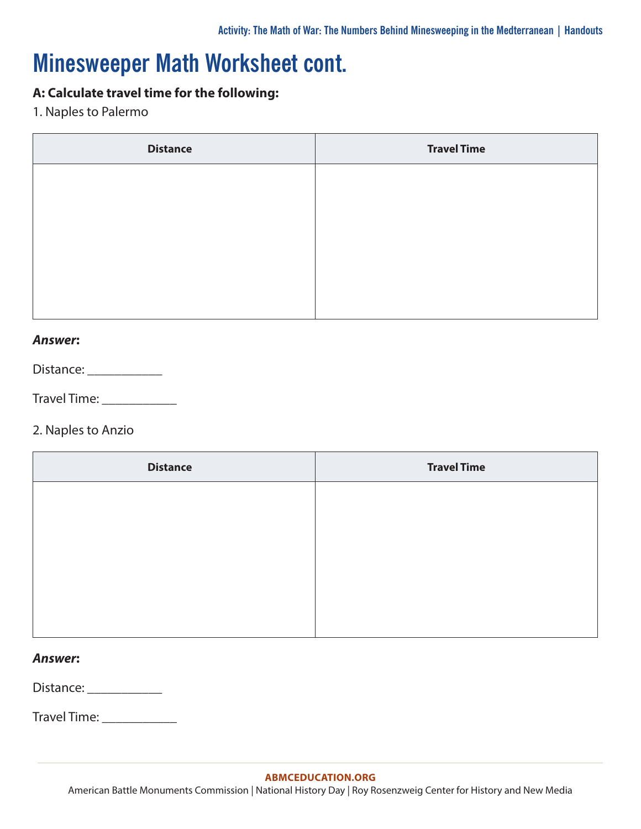### **Minesweeper Math Worksheet cont.**

#### **A: Calculate travel time for the following:**

1. Naples to Palermo

| <b>Distance</b> | <b>Travel Time</b> |
|-----------------|--------------------|
|                 |                    |
|                 |                    |
|                 |                    |
|                 |                    |
|                 |                    |

#### *Answer***:**

| Distance: |  |
|-----------|--|
|-----------|--|

Travel Time: \_\_\_\_\_\_\_\_\_\_\_

#### 2. Naples to Anzio

| <b>Distance</b> | <b>Travel Time</b> |
|-----------------|--------------------|
|                 |                    |
|                 |                    |
|                 |                    |
|                 |                    |
|                 |                    |
|                 |                    |

#### *Answer***:**

Distance: \_\_\_\_\_\_\_\_\_\_\_\_\_\_

Travel Time: \_\_\_\_\_\_\_\_\_\_\_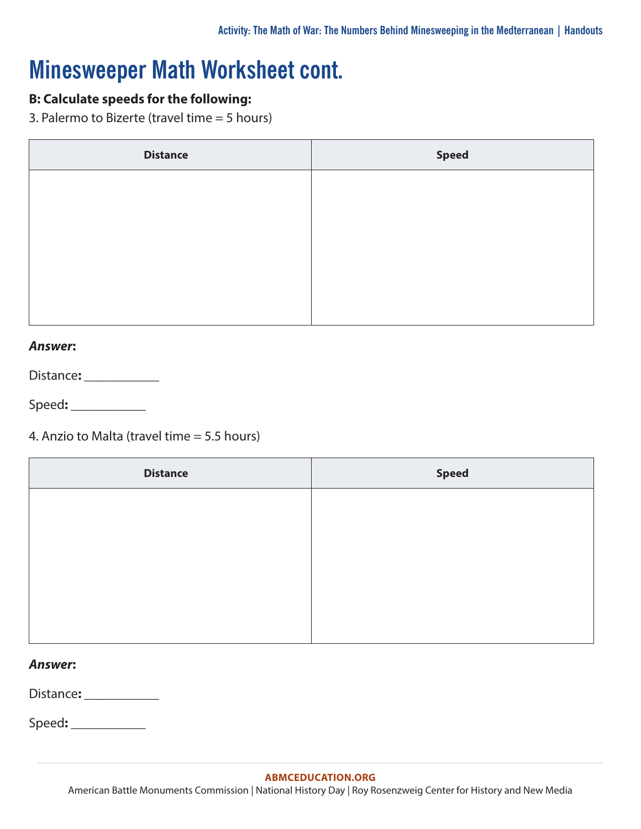## **Minesweeper Math Worksheet cont.**

#### **B: Calculate speeds for the following:**

3. Palermo to Bizerte (travel time = 5 hours)

| <b>Distance</b> | <b>Speed</b> |
|-----------------|--------------|
|                 |              |
|                 |              |
|                 |              |
|                 |              |
|                 |              |

#### *Answer***:**

Distance**:** \_\_\_\_\_\_\_\_\_\_\_

Speed**:** \_\_\_\_\_\_\_\_\_\_\_

4. Anzio to Malta (travel time = 5.5 hours)

| <b>Distance</b> | <b>Speed</b> |
|-----------------|--------------|
|                 |              |
|                 |              |
|                 |              |
|                 |              |
|                 |              |

#### *Answer***:**

Distance**:** \_\_\_\_\_\_\_\_\_\_\_

Speed**:** \_\_\_\_\_\_\_\_\_\_\_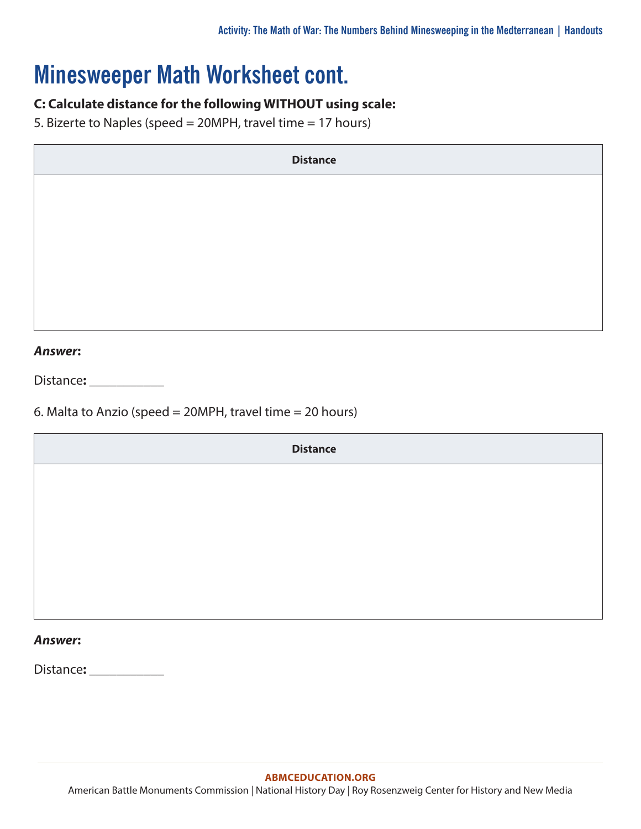### **Minesweeper Math Worksheet cont.**

#### **C: Calculate distance for the following WITHOUT using scale:**

5. Bizerte to Naples (speed = 20MPH, travel time = 17 hours)

| <b>Distance</b> |
|-----------------|
|                 |
|                 |
|                 |
|                 |
|                 |

#### *Answer***:**

Distance**:** \_\_\_\_\_\_\_\_\_\_\_

6. Malta to Anzio (speed = 20MPH, travel time = 20 hours)

**Distance**

#### *Answer***:**

Distance**:** \_\_\_\_\_\_\_\_\_\_\_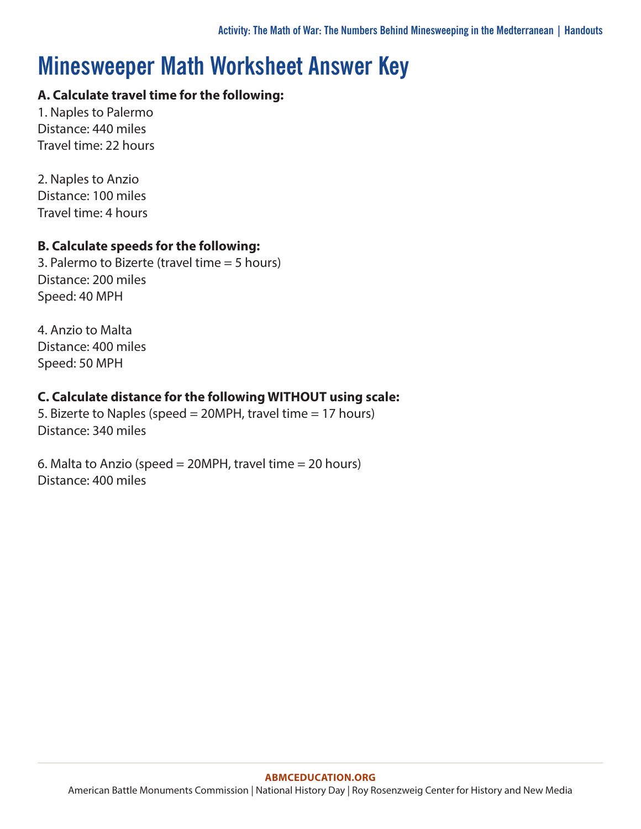## **Minesweeper Math Worksheet Answer Key**

#### **A. Calculate travel time for the following:**

1. Naples to Palermo Distance: 440 miles Travel time: 22 hours

2. Naples to Anzio Distance: 100 miles Travel time: 4 hours

#### **B. Calculate speeds for the following:**

3. Palermo to Bizerte (travel time = 5 hours) Distance: 200 miles Speed: 40 MPH

4. Anzio to Malta Distance: 400 miles Speed: 50 MPH

### **C. Calculate distance for the following WITHOUT using scale:**

5. Bizerte to Naples (speed = 20MPH, travel time = 17 hours) Distance: 340 miles

6. Malta to Anzio (speed  $= 20$ MPH, travel time  $= 20$  hours) Distance: 400 miles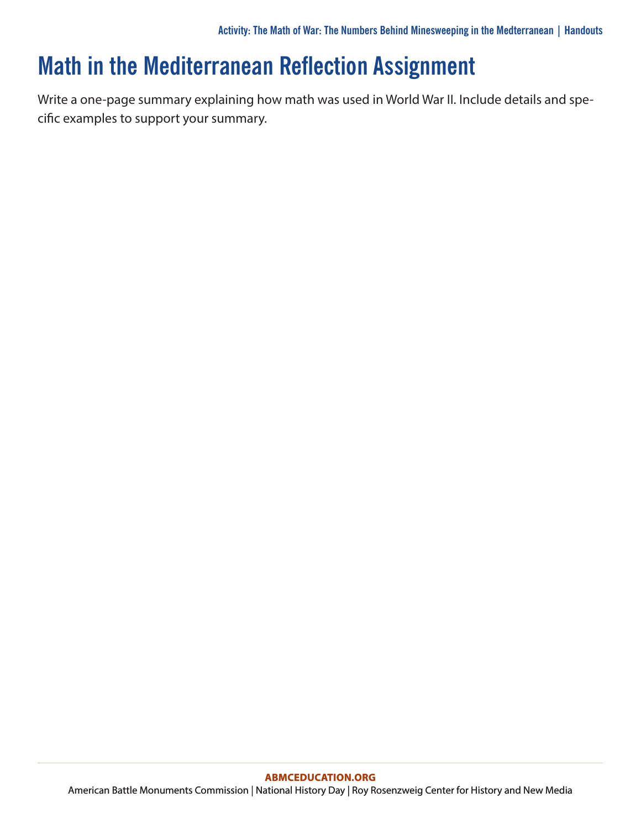# **Math in the Mediterranean Reflection Assignment**

Write a one-page summary explaining how math was used in World War II. Include details and specific examples to support your summary.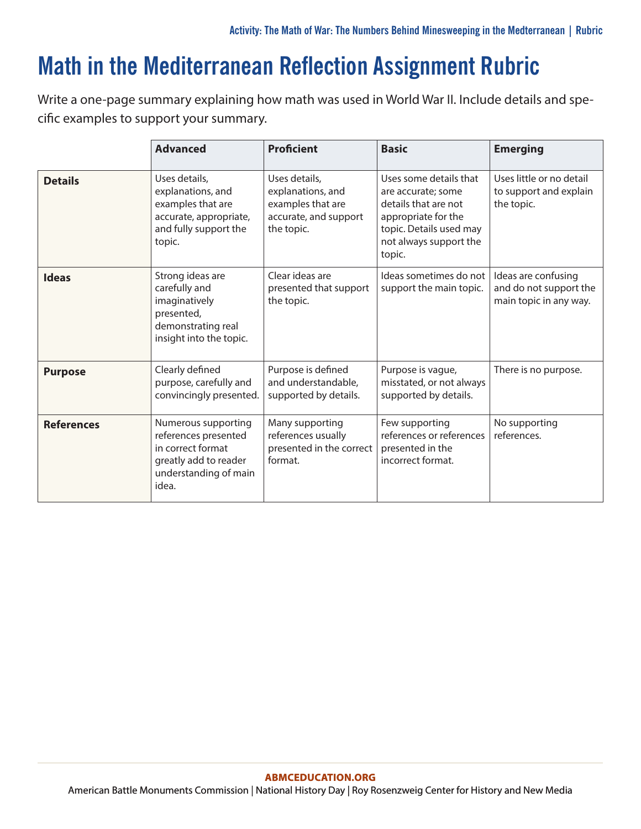## **Math in the Mediterranean Reflection Assignment Rubric**

Write a one-page summary explaining how math was used in World War II. Include details and specific examples to support your summary.

|                   | <b>Advanced</b>                                                                                                             | <b>Proficient</b>                                                                              | <b>Basic</b>                                                                                                                                               | <b>Emerging</b>                                                         |
|-------------------|-----------------------------------------------------------------------------------------------------------------------------|------------------------------------------------------------------------------------------------|------------------------------------------------------------------------------------------------------------------------------------------------------------|-------------------------------------------------------------------------|
| <b>Details</b>    | Uses details,<br>explanations, and<br>examples that are<br>accurate, appropriate,<br>and fully support the<br>topic.        | Uses details,<br>explanations, and<br>examples that are<br>accurate, and support<br>the topic. | Uses some details that<br>are accurate; some<br>details that are not<br>appropriate for the<br>topic. Details used may<br>not always support the<br>topic. | Uses little or no detail<br>to support and explain<br>the topic.        |
| <b>Ideas</b>      | Strong ideas are<br>carefully and<br>imaginatively<br>presented,<br>demonstrating real<br>insight into the topic.           | Clear ideas are<br>presented that support<br>the topic.                                        | Ideas sometimes do not<br>support the main topic.                                                                                                          | Ideas are confusing<br>and do not support the<br>main topic in any way. |
| <b>Purpose</b>    | Clearly defined<br>purpose, carefully and<br>convincingly presented.                                                        | Purpose is defined<br>and understandable,<br>supported by details.                             | Purpose is vague,<br>misstated, or not always<br>supported by details.                                                                                     | There is no purpose.                                                    |
| <b>References</b> | Numerous supporting<br>references presented<br>in correct format<br>greatly add to reader<br>understanding of main<br>idea. | Many supporting<br>references usually<br>presented in the correct<br>format.                   | Few supporting<br>references or references<br>presented in the<br>incorrect format.                                                                        | No supporting<br>references.                                            |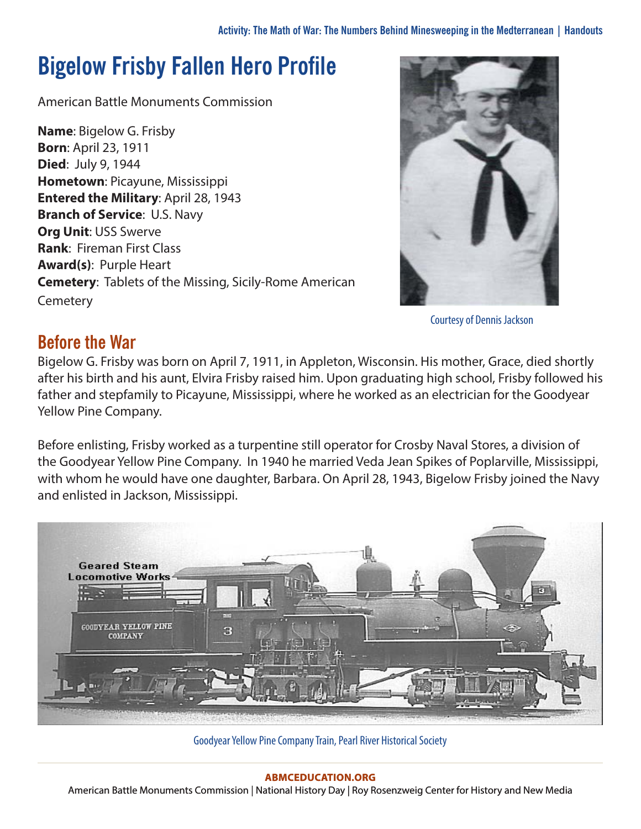## **Bigelow Frisby Fallen Hero Profile**

American Battle Monuments Commission

**Name**: Bigelow G. Frisby **Born**: April 23, 1911 **Died**: July 9, 1944 **Hometown**: Picayune, Mississippi **Entered the Military**: April 28, 1943 **Branch of Service**: U.S. Navy **Org Unit**: USS Swerve **Rank**: Fireman First Class **Award(s)**: Purple Heart **Cemetery**: Tablets of the Missing, Sicily-Rome American **Cemetery** 



Courtesy of Dennis Jackson

### **Before the War**

Bigelow G. Frisby was born on April 7, 1911, in Appleton, Wisconsin. His mother, Grace, died shortly after his birth and his aunt, Elvira Frisby raised him. Upon graduating high school, Frisby followed his father and stepfamily to Picayune, Mississippi, where he worked as an electrician for the Goodyear Yellow Pine Company.

Before enlisting, Frisby worked as a turpentine still operator for Crosby Naval Stores, a division of the Goodyear Yellow Pine Company. In 1940 he married Veda Jean Spikes of Poplarville, Mississippi, with whom he would have one daughter, Barbara. On April 28, 1943, Bigelow Frisby joined the Navy and enlisted in Jackson, Mississippi.



Goodyear Yellow Pine Company Train, Pearl River Historical Society

#### **[ABMCEDUCATION.ORG](http://abmceducation.org)**

American Battle Monuments Commission | National History Day | Roy Rosenzweig Center for History and New Media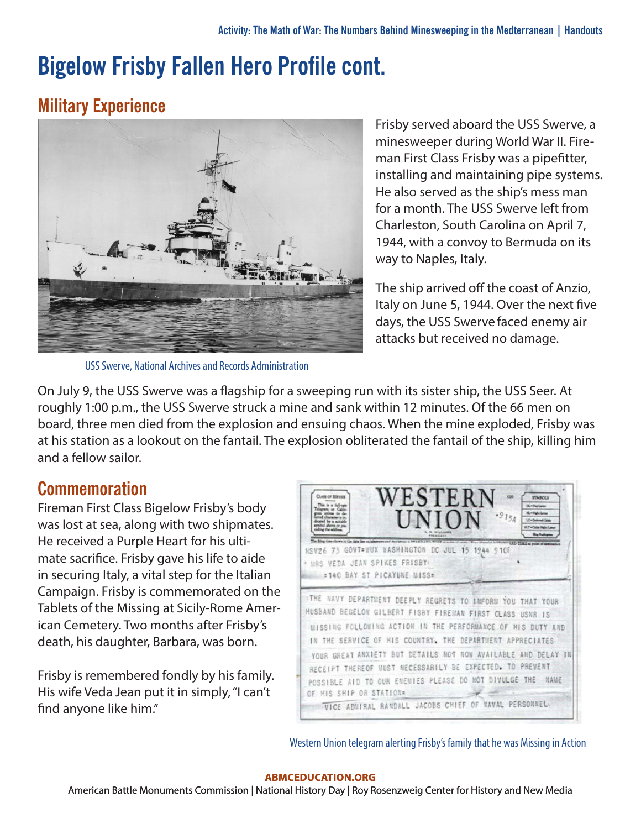## **Bigelow Frisby Fallen Hero Profile cont.**

### **Military Experience**



USS Swerve, National Archives and Records Administration

Frisby served aboard the USS Swerve, a minesweeper during World War II. Fireman First Class Frisby was a pipefitter, installing and maintaining pipe systems. He also served as the ship's mess man for a month. The USS Swerve left from Charleston, South Carolina on April 7, 1944, with a convoy to Bermuda on its way to Naples, Italy.

The ship arrived off the coast of Anzio, Italy on June 5, 1944. Over the next five days, the USS Swerve faced enemy air attacks but received no damage.

On July 9, the USS Swerve was a flagship for a sweeping run with its sister ship, the USS Seer. At roughly 1:00 p.m., the USS Swerve struck a mine and sank within 12 minutes. Of the 66 men on board, three men died from the explosion and ensuing chaos. When the mine exploded, Frisby was at his station as a lookout on the fantail. The explosion obliterated the fantail of the ship, killing him and a fellow sailor.

### **Commemoration**

Fireman First Class Bigelow Frisby's body was lost at sea, along with two shipmates. He received a Purple Heart for his ultimate sacrifice. Frisby gave his life to aide in securing Italy, a vital step for the Italian Campaign. Frisby is commemorated on the Tablets of the Missing at Sicily-Rome American Cemetery. Two months after Frisby's death, his daughter, Barbara, was born.

Frisby is remembered fondly by his family. His wife Veda Jean put it in simply, "I can't find anyone like him."



Western Union telegram alerting Frisby's family that he was Missing in Action

#### **[ABMCEDUCATION.ORG](http://abmceducation.org)**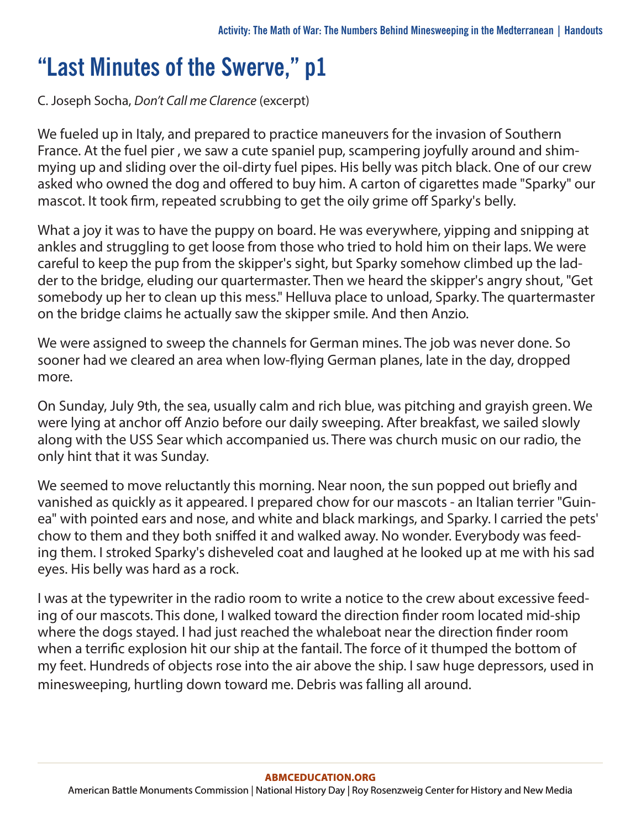C. Joseph Socha, *Don't Call me Clarence* (excerpt)

We fueled up in Italy, and prepared to practice maneuvers for the invasion of Southern France. At the fuel pier , we saw a cute spaniel pup, scampering joyfully around and shimmying up and sliding over the oil-dirty fuel pipes. His belly was pitch black. One of our crew asked who owned the dog and offered to buy him. A carton of cigarettes made "Sparky" our mascot. It took firm, repeated scrubbing to get the oily grime off Sparky's belly.

What a joy it was to have the puppy on board. He was everywhere, yipping and snipping at ankles and struggling to get loose from those who tried to hold him on their laps. We were careful to keep the pup from the skipper's sight, but Sparky somehow climbed up the ladder to the bridge, eluding our quartermaster. Then we heard the skipper's angry shout, "Get somebody up her to clean up this mess." Helluva place to unload, Sparky. The quartermaster on the bridge claims he actually saw the skipper smile. And then Anzio.

We were assigned to sweep the channels for German mines. The job was never done. So sooner had we cleared an area when low-flying German planes, late in the day, dropped more.

On Sunday, July 9th, the sea, usually calm and rich blue, was pitching and grayish green. We were lying at anchor off Anzio before our daily sweeping. After breakfast, we sailed slowly along with the USS Sear which accompanied us. There was church music on our radio, the only hint that it was Sunday.

We seemed to move reluctantly this morning. Near noon, the sun popped out briefly and vanished as quickly as it appeared. I prepared chow for our mascots - an Italian terrier "Guinea" with pointed ears and nose, and white and black markings, and Sparky. I carried the pets' chow to them and they both sniffed it and walked away. No wonder. Everybody was feeding them. I stroked Sparky's disheveled coat and laughed at he looked up at me with his sad eyes. His belly was hard as a rock.

I was at the typewriter in the radio room to write a notice to the crew about excessive feeding of our mascots. This done, I walked toward the direction finder room located mid-ship where the dogs stayed. I had just reached the whaleboat near the direction finder room when a terrific explosion hit our ship at the fantail. The force of it thumped the bottom of my feet. Hundreds of objects rose into the air above the ship. I saw huge depressors, used in minesweeping, hurtling down toward me. Debris was falling all around.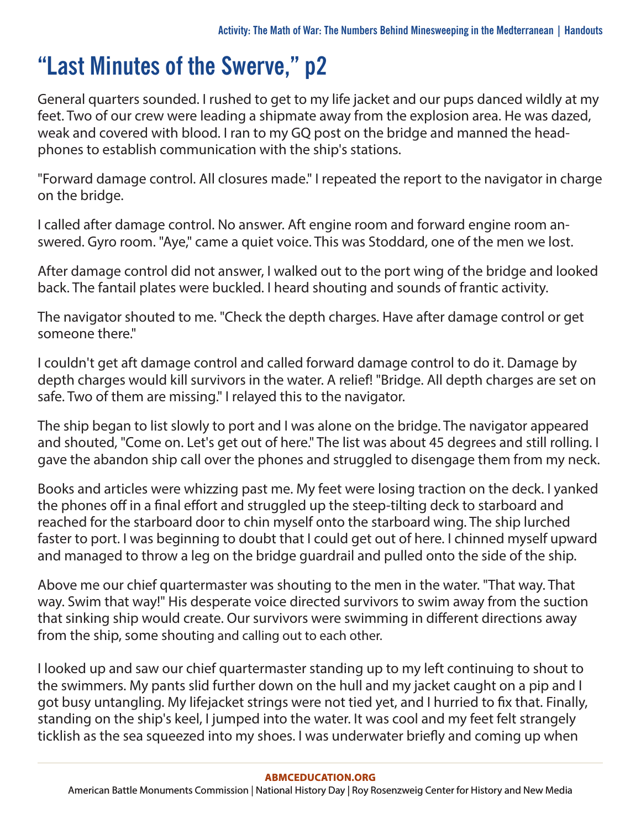General quarters sounded. I rushed to get to my life jacket and our pups danced wildly at my feet. Two of our crew were leading a shipmate away from the explosion area. He was dazed, weak and covered with blood. I ran to my GQ post on the bridge and manned the headphones to establish communication with the ship's stations.

"Forward damage control. All closures made." I repeated the report to the navigator in charge on the bridge.

I called after damage control. No answer. Aft engine room and forward engine room answered. Gyro room. "Aye," came a quiet voice. This was Stoddard, one of the men we lost.

After damage control did not answer, I walked out to the port wing of the bridge and looked back. The fantail plates were buckled. I heard shouting and sounds of frantic activity.

The navigator shouted to me. "Check the depth charges. Have after damage control or get someone there."

I couldn't get aft damage control and called forward damage control to do it. Damage by depth charges would kill survivors in the water. A relief! "Bridge. All depth charges are set on safe. Two of them are missing." I relayed this to the navigator.

The ship began to list slowly to port and I was alone on the bridge. The navigator appeared and shouted, "Come on. Let's get out of here." The list was about 45 degrees and still rolling. I gave the abandon ship call over the phones and struggled to disengage them from my neck.

Books and articles were whizzing past me. My feet were losing traction on the deck. I yanked the phones off in a final effort and struggled up the steep-tilting deck to starboard and reached for the starboard door to chin myself onto the starboard wing. The ship lurched faster to port. I was beginning to doubt that I could get out of here. I chinned myself upward and managed to throw a leg on the bridge guardrail and pulled onto the side of the ship.

Above me our chief quartermaster was shouting to the men in the water. "That way. That way. Swim that way!" His desperate voice directed survivors to swim away from the suction that sinking ship would create. Our survivors were swimming in different directions away from the ship, some shouting and calling out to each other.

I looked up and saw our chief quartermaster standing up to my left continuing to shout to the swimmers. My pants slid further down on the hull and my jacket caught on a pip and I got busy untangling. My lifejacket strings were not tied yet, and I hurried to fix that. Finally, standing on the ship's keel, I jumped into the water. It was cool and my feet felt strangely ticklish as the sea squeezed into my shoes. I was underwater briefly and coming up when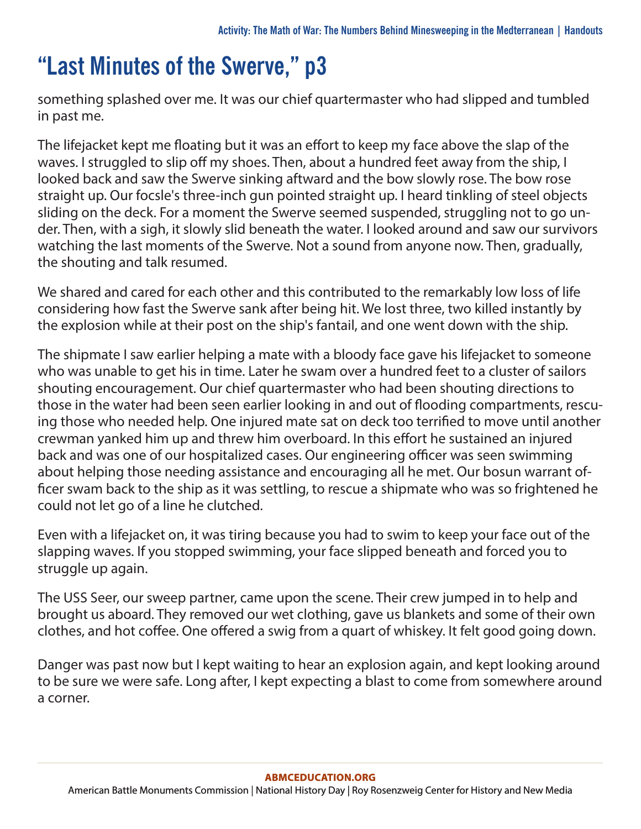something splashed over me. It was our chief quartermaster who had slipped and tumbled in past me.

The lifejacket kept me floating but it was an effort to keep my face above the slap of the waves. I struggled to slip off my shoes. Then, about a hundred feet away from the ship, I looked back and saw the Swerve sinking aftward and the bow slowly rose. The bow rose straight up. Our focsle's three-inch gun pointed straight up. I heard tinkling of steel objects sliding on the deck. For a moment the Swerve seemed suspended, struggling not to go under. Then, with a sigh, it slowly slid beneath the water. I looked around and saw our survivors watching the last moments of the Swerve. Not a sound from anyone now. Then, gradually, the shouting and talk resumed.

We shared and cared for each other and this contributed to the remarkably low loss of life considering how fast the Swerve sank after being hit. We lost three, two killed instantly by the explosion while at their post on the ship's fantail, and one went down with the ship.

The shipmate I saw earlier helping a mate with a bloody face gave his lifejacket to someone who was unable to get his in time. Later he swam over a hundred feet to a cluster of sailors shouting encouragement. Our chief quartermaster who had been shouting directions to those in the water had been seen earlier looking in and out of flooding compartments, rescuing those who needed help. One injured mate sat on deck too terrified to move until another crewman yanked him up and threw him overboard. In this effort he sustained an injured back and was one of our hospitalized cases. Our engineering officer was seen swimming about helping those needing assistance and encouraging all he met. Our bosun warrant officer swam back to the ship as it was settling, to rescue a shipmate who was so frightened he could not let go of a line he clutched.

Even with a lifejacket on, it was tiring because you had to swim to keep your face out of the slapping waves. If you stopped swimming, your face slipped beneath and forced you to struggle up again.

The USS Seer, our sweep partner, came upon the scene. Their crew jumped in to help and brought us aboard. They removed our wet clothing, gave us blankets and some of their own clothes, and hot coffee. One offered a swig from a quart of whiskey. It felt good going down.

Danger was past now but I kept waiting to hear an explosion again, and kept looking around to be sure we were safe. Long after, I kept expecting a blast to come from somewhere around a corner.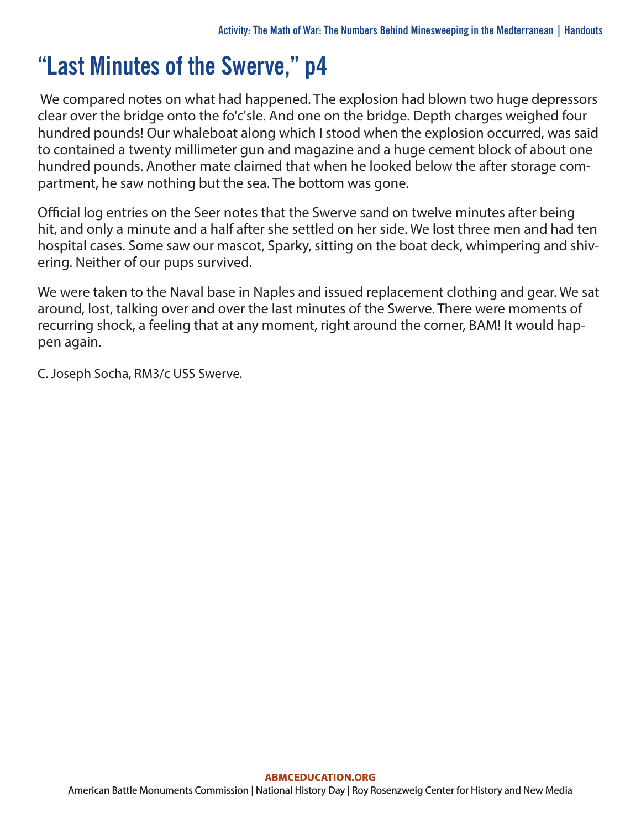We compared notes on what had happened. The explosion had blown two huge depressors clear over the bridge onto the fo'c'sle. And one on the bridge. Depth charges weighed four hundred pounds! Our whaleboat along which I stood when the explosion occurred, was said to contained a twenty millimeter gun and magazine and a huge cement block of about one hundred pounds. Another mate claimed that when he looked below the after storage compartment, he saw nothing but the sea. The bottom was gone.

Official log entries on the Seer notes that the Swerve sand on twelve minutes after being hit, and only a minute and a half after she settled on her side. We lost three men and had ten hospital cases. Some saw our mascot, Sparky, sitting on the boat deck, whimpering and shivering. Neither of our pups survived.

We were taken to the Naval base in Naples and issued replacement clothing and gear. We sat around, lost, talking over and over the last minutes of the Swerve. There were moments of recurring shock, a feeling that at any moment, right around the corner, BAM! It would happen again.

C. Joseph Socha, RM3/c USS Swerve.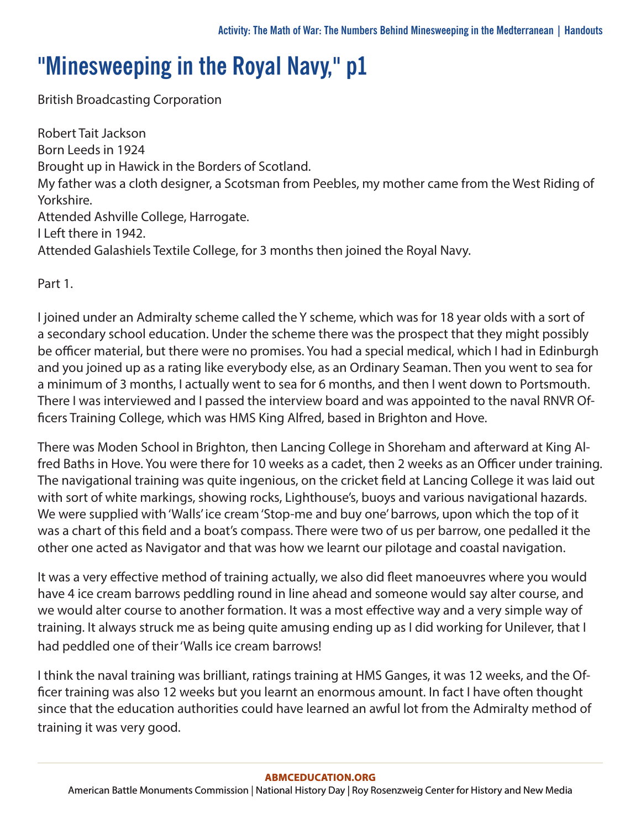British Broadcasting Corporation

Robert Tait Jackson Born Leeds in 1924 Brought up in Hawick in the Borders of Scotland. My father was a cloth designer, a Scotsman from Peebles, my mother came from the West Riding of Yorkshire. Attended Ashville College, Harrogate. I Left there in 1942. Attended Galashiels Textile College, for 3 months then joined the Royal Navy.

Part 1.

I joined under an Admiralty scheme called the Y scheme, which was for 18 year olds with a sort of a secondary school education. Under the scheme there was the prospect that they might possibly be officer material, but there were no promises. You had a special medical, which I had in Edinburgh and you joined up as a rating like everybody else, as an Ordinary Seaman. Then you went to sea for a minimum of 3 months, I actually went to sea for 6 months, and then I went down to Portsmouth. There I was interviewed and I passed the interview board and was appointed to the naval RNVR Officers Training College, which was HMS King Alfred, based in Brighton and Hove.

There was Moden School in Brighton, then Lancing College in Shoreham and afterward at King Alfred Baths in Hove. You were there for 10 weeks as a cadet, then 2 weeks as an Officer under training. The navigational training was quite ingenious, on the cricket field at Lancing College it was laid out with sort of white markings, showing rocks, Lighthouse's, buoys and various navigational hazards. We were supplied with 'Walls' ice cream 'Stop-me and buy one' barrows, upon which the top of it was a chart of this field and a boat's compass. There were two of us per barrow, one pedalled it the other one acted as Navigator and that was how we learnt our pilotage and coastal navigation.

It was a very effective method of training actually, we also did fleet manoeuvres where you would have 4 ice cream barrows peddling round in line ahead and someone would say alter course, and we would alter course to another formation. It was a most effective way and a very simple way of training. It always struck me as being quite amusing ending up as I did working for Unilever, that I had peddled one of their 'Walls ice cream barrows!

I think the naval training was brilliant, ratings training at HMS Ganges, it was 12 weeks, and the Officer training was also 12 weeks but you learnt an enormous amount. In fact I have often thought since that the education authorities could have learned an awful lot from the Admiralty method of training it was very good.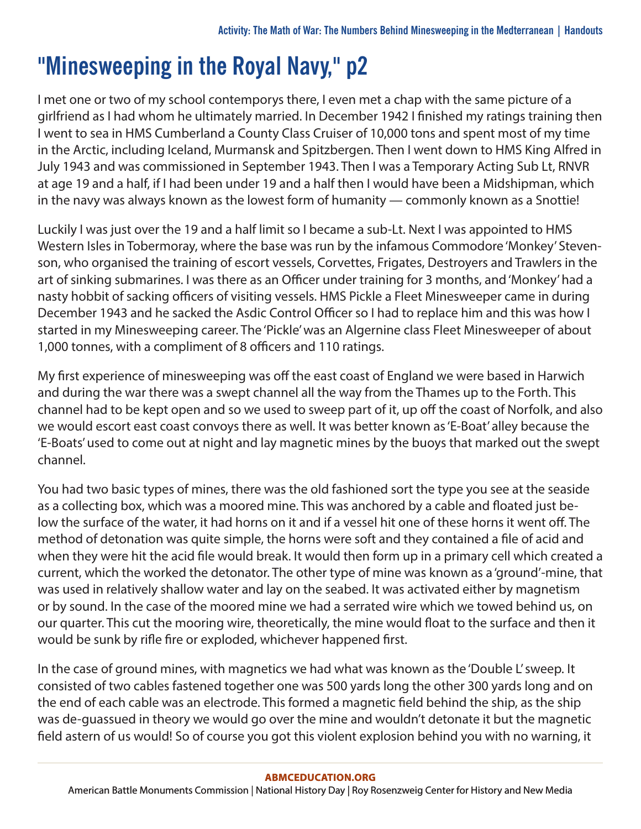I met one or two of my school contemporys there, I even met a chap with the same picture of a girlfriend as I had whom he ultimately married. In December 1942 I finished my ratings training then I went to sea in HMS Cumberland a County Class Cruiser of 10,000 tons and spent most of my time in the Arctic, including Iceland, Murmansk and Spitzbergen. Then I went down to HMS King Alfred in July 1943 and was commissioned in September 1943. Then I was a Temporary Acting Sub Lt, RNVR at age 19 and a half, if I had been under 19 and a half then I would have been a Midshipman, which in the navy was always known as the lowest form of humanity — commonly known as a Snottie!

Luckily I was just over the 19 and a half limit so I became a sub-Lt. Next I was appointed to HMS Western Isles in Tobermoray, where the base was run by the infamous Commodore 'Monkey' Stevenson, who organised the training of escort vessels, Corvettes, Frigates, Destroyers and Trawlers in the art of sinking submarines. I was there as an Officer under training for 3 months, and 'Monkey' had a nasty hobbit of sacking officers of visiting vessels. HMS Pickle a Fleet Minesweeper came in during December 1943 and he sacked the Asdic Control Officer so I had to replace him and this was how I started in my Minesweeping career. The 'Pickle' was an Algernine class Fleet Minesweeper of about 1,000 tonnes, with a compliment of 8 officers and 110 ratings.

My first experience of minesweeping was off the east coast of England we were based in Harwich and during the war there was a swept channel all the way from the Thames up to the Forth. This channel had to be kept open and so we used to sweep part of it, up off the coast of Norfolk, and also we would escort east coast convoys there as well. It was better known as 'E-Boat' alley because the 'E-Boats' used to come out at night and lay magnetic mines by the buoys that marked out the swept channel.

You had two basic types of mines, there was the old fashioned sort the type you see at the seaside as a collecting box, which was a moored mine. This was anchored by a cable and floated just below the surface of the water, it had horns on it and if a vessel hit one of these horns it went off. The method of detonation was quite simple, the horns were soft and they contained a file of acid and when they were hit the acid file would break. It would then form up in a primary cell which created a current, which the worked the detonator. The other type of mine was known as a 'ground'-mine, that was used in relatively shallow water and lay on the seabed. It was activated either by magnetism or by sound. In the case of the moored mine we had a serrated wire which we towed behind us, on our quarter. This cut the mooring wire, theoretically, the mine would float to the surface and then it would be sunk by rifle fire or exploded, whichever happened first.

In the case of ground mines, with magnetics we had what was known as the 'Double L' sweep. It consisted of two cables fastened together one was 500 yards long the other 300 yards long and on the end of each cable was an electrode. This formed a magnetic field behind the ship, as the ship was de-guassued in theory we would go over the mine and wouldn't detonate it but the magnetic field astern of us would! So of course you got this violent explosion behind you with no warning, it

#### **[ABMCEDUCATION.ORG](http://abmceducation.org)**

American Battle Monuments Commission | National History Day | Roy Rosenzweig Center for History and New Media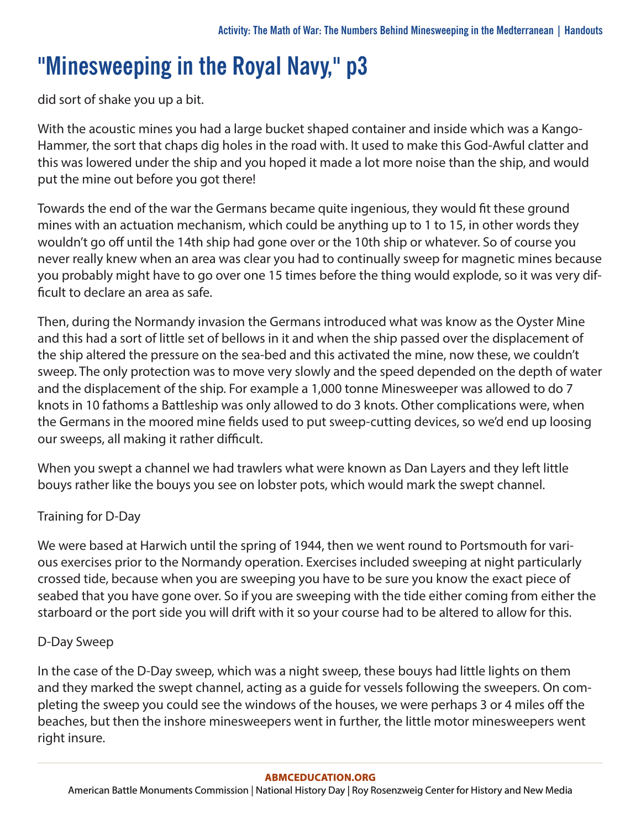did sort of shake you up a bit.

With the acoustic mines you had a large bucket shaped container and inside which was a Kango-Hammer, the sort that chaps dig holes in the road with. It used to make this God-Awful clatter and this was lowered under the ship and you hoped it made a lot more noise than the ship, and would put the mine out before you got there!

Towards the end of the war the Germans became quite ingenious, they would fit these ground mines with an actuation mechanism, which could be anything up to 1 to 15, in other words they wouldn't go off until the 14th ship had gone over or the 10th ship or whatever. So of course you never really knew when an area was clear you had to continually sweep for magnetic mines because you probably might have to go over one 15 times before the thing would explode, so it was very difficult to declare an area as safe.

Then, during the Normandy invasion the Germans introduced what was know as the Oyster Mine and this had a sort of little set of bellows in it and when the ship passed over the displacement of the ship altered the pressure on the sea-bed and this activated the mine, now these, we couldn't sweep. The only protection was to move very slowly and the speed depended on the depth of water and the displacement of the ship. For example a 1,000 tonne Minesweeper was allowed to do 7 knots in 10 fathoms a Battleship was only allowed to do 3 knots. Other complications were, when the Germans in the moored mine fields used to put sweep-cutting devices, so we'd end up loosing our sweeps, all making it rather difficult.

When you swept a channel we had trawlers what were known as Dan Layers and they left little bouys rather like the bouys you see on lobster pots, which would mark the swept channel.

### Training for D-Day

We were based at Harwich until the spring of 1944, then we went round to Portsmouth for various exercises prior to the Normandy operation. Exercises included sweeping at night particularly crossed tide, because when you are sweeping you have to be sure you know the exact piece of seabed that you have gone over. So if you are sweeping with the tide either coming from either the starboard or the port side you will drift with it so your course had to be altered to allow for this.

#### D-Day Sweep

In the case of the D-Day sweep, which was a night sweep, these bouys had little lights on them and they marked the swept channel, acting as a guide for vessels following the sweepers. On completing the sweep you could see the windows of the houses, we were perhaps 3 or 4 miles off the beaches, but then the inshore minesweepers went in further, the little motor minesweepers went right insure.

#### **[ABMCEDUCATION.ORG](http://abmceducation.org)**

American Battle Monuments Commission | National History Day | Roy Rosenzweig Center for History and New Media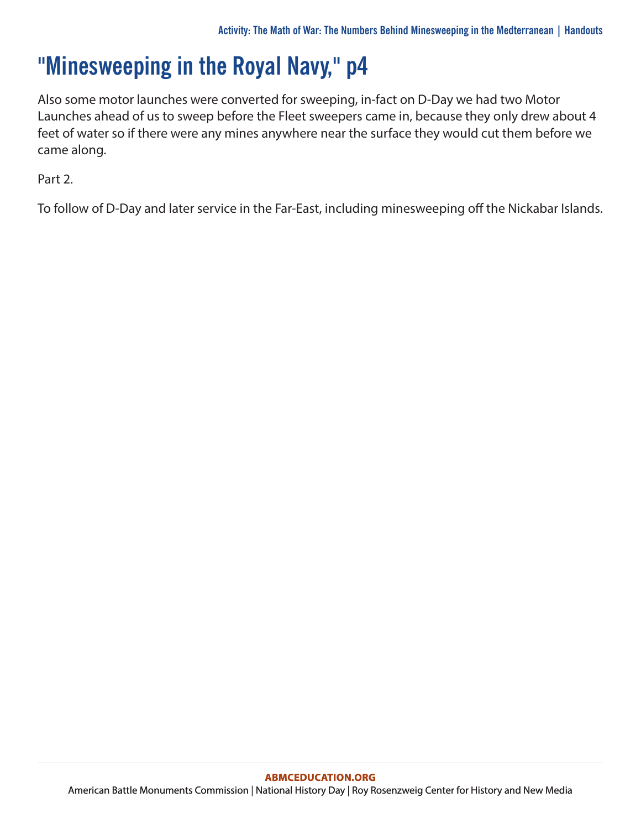Also some motor launches were converted for sweeping, in-fact on D-Day we had two Motor Launches ahead of us to sweep before the Fleet sweepers came in, because they only drew about 4 feet of water so if there were any mines anywhere near the surface they would cut them before we came along.

Part 2.

To follow of D-Day and later service in the Far-East, including minesweeping off the Nickabar Islands.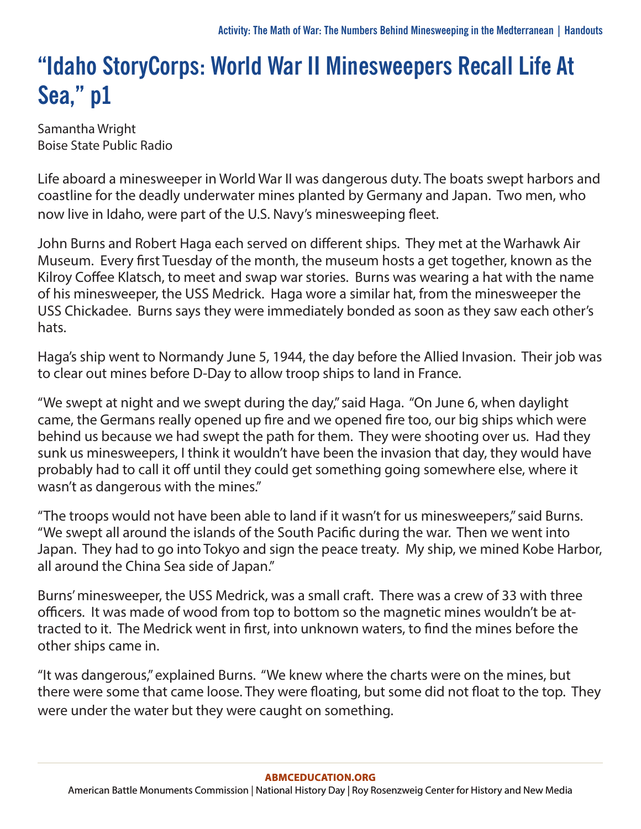# **"Idaho StoryCorps: World War II Minesweepers Recall Life At Sea," p1**

Samantha Wright Boise State Public Radio

Life aboard a minesweeper in World War II was dangerous duty. The boats swept harbors and coastline for the deadly underwater mines planted by Germany and Japan. Two men, who now live in Idaho, were part of the U.S. Navy's minesweeping fleet.

John Burns and Robert Haga each served on different ships. They met at the Warhawk Air Museum. Every first Tuesday of the month, the museum hosts a get together, known as the Kilroy Coffee Klatsch, to meet and swap war stories. Burns was wearing a hat with the name of his minesweeper, the USS Medrick. Haga wore a similar hat, from the minesweeper the USS Chickadee. Burns says they were immediately bonded as soon as they saw each other's hats.

Haga's ship went to Normandy June 5, 1944, the day before the Allied Invasion. Their job was to clear out mines before D-Day to allow troop ships to land in France.

"We swept at night and we swept during the day," said Haga. "On June 6, when daylight came, the Germans really opened up fire and we opened fire too, our big ships which were behind us because we had swept the path for them. They were shooting over us. Had they sunk us minesweepers, I think it wouldn't have been the invasion that day, they would have probably had to call it off until they could get something going somewhere else, where it wasn't as dangerous with the mines."

"The troops would not have been able to land if it wasn't for us minesweepers," said Burns. "We swept all around the islands of the South Pacific during the war. Then we went into Japan. They had to go into Tokyo and sign the peace treaty. My ship, we mined Kobe Harbor, all around the China Sea side of Japan."

Burns' minesweeper, the USS Medrick, was a small craft. There was a crew of 33 with three officers. It was made of wood from top to bottom so the magnetic mines wouldn't be attracted to it. The Medrick went in first, into unknown waters, to find the mines before the other ships came in.

"It was dangerous," explained Burns. "We knew where the charts were on the mines, but there were some that came loose. They were floating, but some did not float to the top. They were under the water but they were caught on something.